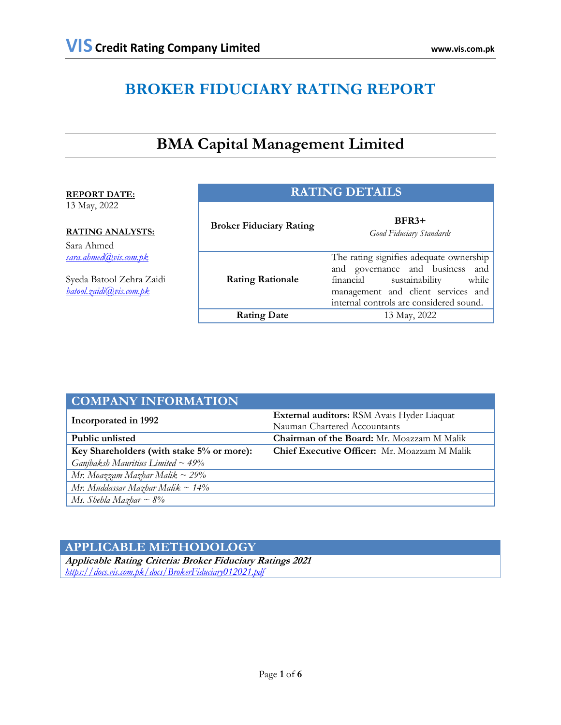# **BROKER FIDUCIARY RATING REPORT**

# **BMA Capital Management Limited**

#### **REPORT DATE:**

13 May, 2022

#### **RATING ANALYSTS:**

Sara Ahmed *[sara.ahmed@vis.com.pk](mailto:sara.ahmed@vis.com.pk)*

Syeda Batool Zehra Zaidi *[batool.zaidi@vis.com.pk](mailto:batool.zaidi@vis.com.pk)*

| <b>RATING DETAILS</b>          |                                                                                                                                                                                                     |  |  |  |
|--------------------------------|-----------------------------------------------------------------------------------------------------------------------------------------------------------------------------------------------------|--|--|--|
| <b>Broker Fiduciary Rating</b> | $BFR3+$<br>Good Fiduciary Standards                                                                                                                                                                 |  |  |  |
| <b>Rating Rationale</b>        | The rating signifies adequate ownership<br>and governance and business and<br>financial<br>sustainability<br>while<br>management and client services and<br>internal controls are considered sound. |  |  |  |
| <b>Rating Date</b>             | 13 May, 2022                                                                                                                                                                                        |  |  |  |

| <b>COMPANY INFORMATION</b>                |                                                     |  |  |
|-------------------------------------------|-----------------------------------------------------|--|--|
| Incorporated in 1992                      | External auditors: RSM Avais Hyder Liaquat          |  |  |
|                                           | Nauman Chartered Accountants                        |  |  |
| Public unlisted                           | <b>Chairman of the Board:</b> Mr. Moazzam M Malik   |  |  |
| Key Shareholders (with stake 5% or more): | <b>Chief Executive Officer:</b> Mr. Moazzam M Malik |  |  |
| Ganjbaksh Mauritius Limited $\sim$ 49%    |                                                     |  |  |
| Mr. Moazzam Mazhar Malik ~ 29%            |                                                     |  |  |
| Mr. Muddassar Mazhar Malik $\sim 14\%$    |                                                     |  |  |
| Ms. Shehla Mazhar $\sim$ 8%               |                                                     |  |  |

#### **APPLICABLE METHODOLOGY**

**Applicable Rating Criteria: Broker Fiduciary Ratings 2021** *<https://docs.vis.com.pk/docs/BrokerFiduciary012021.pdf>*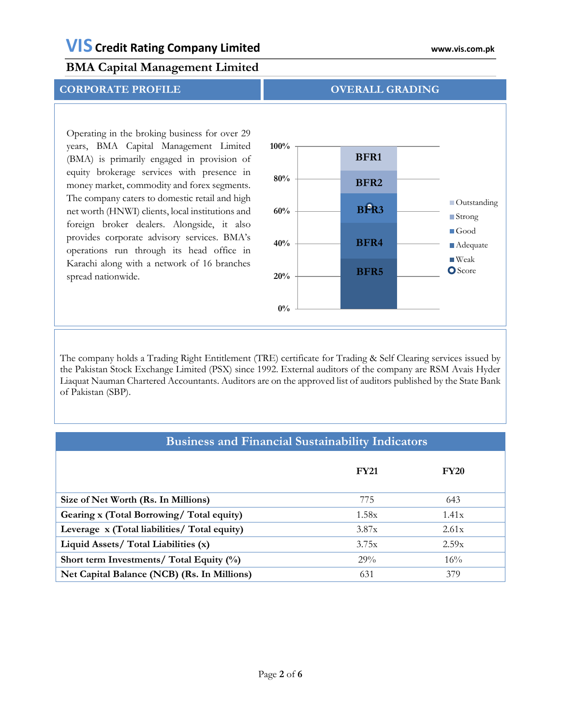#### **CORPORATE PROFILE OVERALL GRADING**

Operating in the broking business for over 29 years, BMA Capital Management Limited (BMA) is primarily engaged in provision of equity brokerage services with presence in money market, commodity and forex segments. The company caters to domestic retail and high net worth (HNWI) clients, local institutions and foreign broker dealers. Alongside, it also provides corporate advisory services. BMA's operations run through its head office in Karachi along with a network of 16 branches spread nationwide.



#### The company holds a Trading Right Entitlement (TRE) certificate for Trading & Self Clearing services issued by the Pakistan Stock Exchange Limited (PSX) since 1992. External auditors of the company are RSM Avais Hyder Liaquat Nauman Chartered Accountants. Auditors are on the approved list of auditors published by the State Bank of Pakistan (SBP).

#### **Business and Financial Sustainability Indicators**

|                                              | <b>FY21</b> | <b>FY20</b> |
|----------------------------------------------|-------------|-------------|
| Size of Net Worth (Rs. In Millions)          | 775         | 643         |
| Gearing x (Total Borrowing/Total equity)     | 1.58x       | 1.41x       |
| Leverage x (Total liabilities/ Total equity) | 3.87x       | 2.61x       |
| Liquid Assets/ Total Liabilities (x)         | 3.75x       | 2.59x       |
| Short term Investments/ Total Equity (%)     | 29%         | 16%         |
| Net Capital Balance (NCB) (Rs. In Millions)  | 631         | 379         |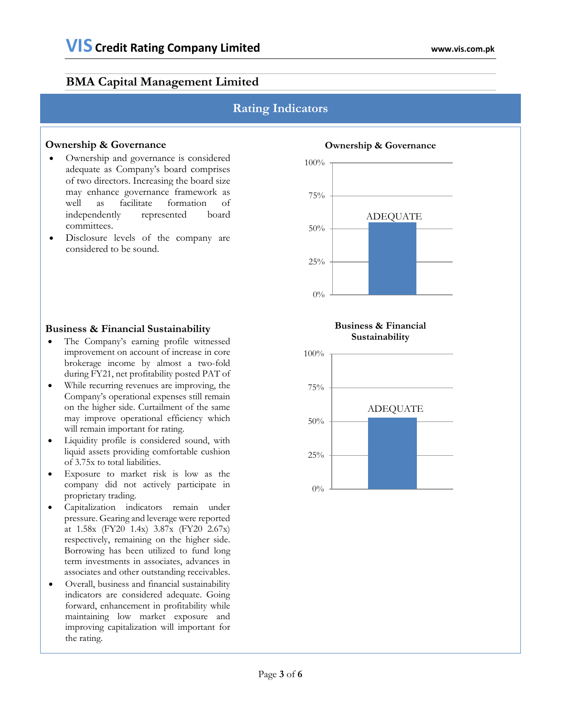#### **Rating Indicators**

#### **Ownership & Governance**

- Ownership and governance is considered adequate as Company's board comprises of two directors. Increasing the board size may enhance governance framework as well as facilitate formation of independently represented board committees.
- Disclosure levels of the company are considered to be sound.

#### **Business & Financial Sustainability**

- The Company's earning profile witnessed improvement on account of increase in core brokerage income by almost a two-fold during FY21, net profitability posted PAT of
- While recurring revenues are improving, the Company's operational expenses still remain on the higher side. Curtailment of the same may improve operational efficiency which will remain important for rating.
- Liquidity profile is considered sound, with liquid assets providing comfortable cushion of 3.75x to total liabilities.
- Exposure to market risk is low as the company did not actively participate in proprietary trading.
- Capitalization indicators remain under pressure. Gearing and leverage were reported at 1.58x (FY20 1.4x) 3.87x (FY20 2.67x) respectively, remaining on the higher side. Borrowing has been utilized to fund long term investments in associates, advances in associates and other outstanding receivables.
- Overall, business and financial sustainability indicators are considered adequate. Going forward, enhancement in profitability while maintaining low market exposure and improving capitalization will important for the rating.



#### **Business & Financial Sustainability**

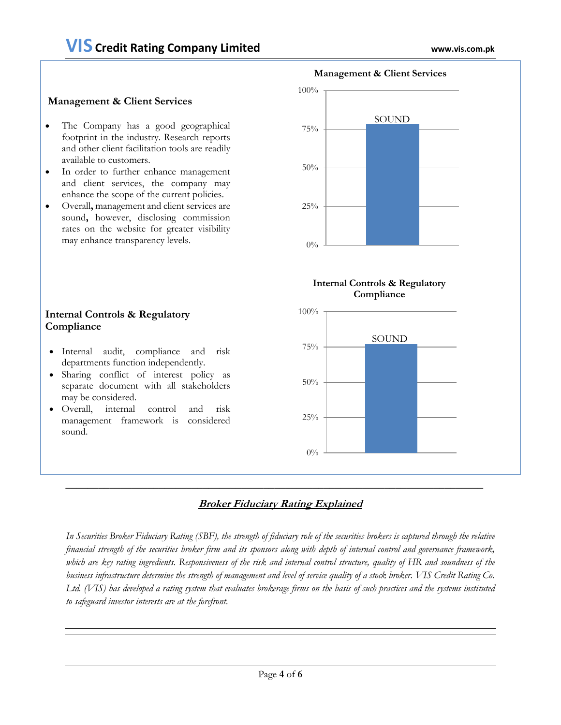#### **Management & Client Services**

- The Company has a good geographical footprint in the industry. Research reports and other client facilitation tools are readily available to customers.
- In order to further enhance management and client services, the company may enhance the scope of the current policies.
- Overall**,** management and client services are sound**,** however, disclosing commission rates on the website for greater visibility may enhance transparency levels.

# 25% 50% 75% 100% **Management & Client Services** SOUND

#### **Internal Controls & Regulatory Compliance**

 $0\%$ 



#### **Internal Controls & Regulatory Compliance**

- Internal audit, compliance and risk departments function independently.
- Sharing conflict of interest policy as separate document with all stakeholders may be considered.
- Overall, internal control and risk management framework is considered sound.

#### **Broker Fiduciary Rating Explained**

*In Securities Broker Fiduciary Rating (SBF), the strength of fiduciary role of the securities brokers is captured through the relative financial strength of the securities broker firm and its sponsors along with depth of internal control and governance framework, which are key rating ingredients. Responsiveness of the risk and internal control structure, quality of HR and soundness of the business infrastructure determine the strength of management and level of service quality of a stock broker. VIS Credit Rating Co. Ltd. (VIS) has developed a rating system that evaluates brokerage firms on the basis of such practices and the systems instituted to safeguard investor interests are at the forefront.*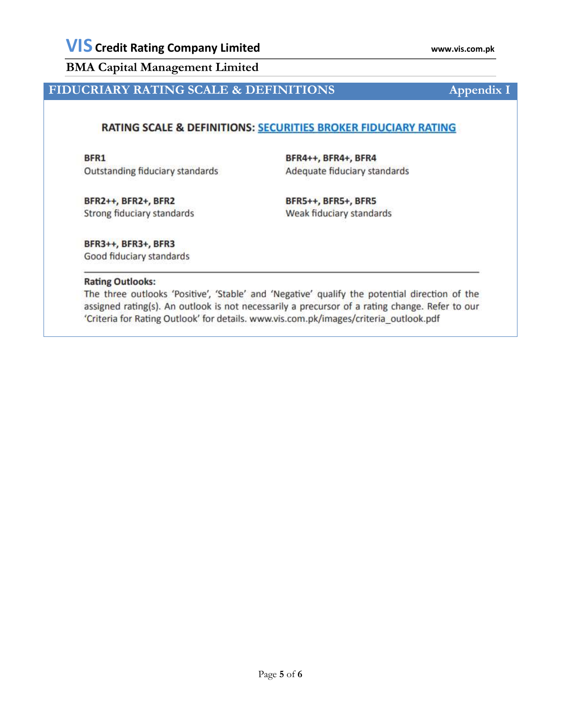## **FIDUCRIARY RATING SCALE & DEFINITIONS Appendix I**

#### RATING SCALE & DEFINITIONS: SECURITIES BROKER FIDUCIARY RATING

BFR1 Outstanding fiduciary standards BFR4++, BFR4+, BFR4 Adequate fiduciary standards

BFR2++, BFR2+, BFR2 Strong fiduciary standards

BFR5++, BFR5+, BFR5 Weak fiduciary standards

BFR3++, BFR3+, BFR3 Good fiduciary standards

#### **Rating Outlooks:**

The three outlooks 'Positive', 'Stable' and 'Negative' qualify the potential direction of the assigned rating(s). An outlook is not necessarily a precursor of a rating change. Refer to our 'Criteria for Rating Outlook' for details. www.vis.com.pk/images/criteria\_outlook.pdf